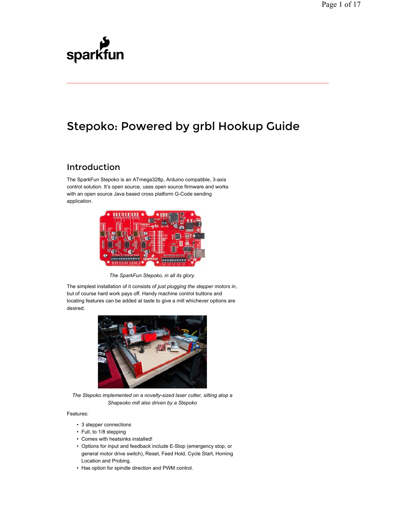# sparkfun

## Stepoko: Powered by grbl Hookup Guide

## Introduction

The SparkFun Stepoko is an ATmega328p, Arduino compatible, 3-axis control solution. It's open source, uses open source firmware and works with an open source Java based cross platform G-Code sending application.



*The SparkFun Stepoko, in all its glory.*

The simplest installation of it consists of *just plugging the stepper motors in*, but of course hard work pays off. Handy machine control buttons and locating features can be added at taste to give a mill whichever options are desired.



*The Stepoko implemented on a novelty-sized laser cutter, sitting atop a Shapeoko mill also driven by a Stepoko*

#### Features:

- 3 stepper connections
- Full, to 1/8 stepping
- Comes with heatsinks installed!
- Options for input and feedback include E-Stop (emergency stop, or general motor drive switch), Reset, Feed Hold, Cycle Start, Homing Location and Probing.
- Has option for spindle direction and PWM control.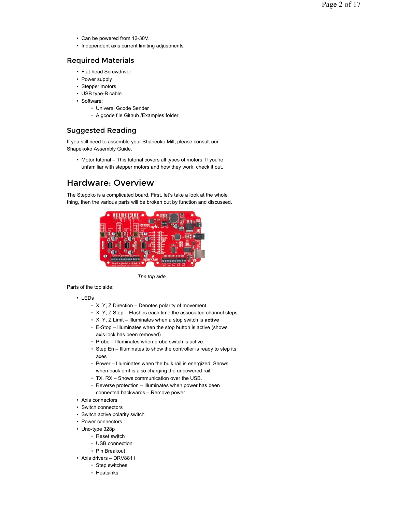- Can be powered from 12-30V.
- Independent axis current limiting adjustments

#### Required Materials

- Flat-head Screwdriver
- Power supply
- Stepper motors
- USB type-B cable
- Software:
	- Univeral Gcode Sender
	- A gcode file Github /Examples folder

## Suggested Reading

If you still need to assemble your Shapeoko Mill, please consult our Shapekoko Assembly Guide.

• Motor tutorial – This tutorial covers all types of motors. If you're unfamiliar with stepper motors and how they work, check it out.

## Hardware: Overview

The Stepoko is a complicated board. First, let's take a look at the whole thing, then the various parts will be broken out by function and discussed.



*The top side.*

Parts of the top side:

- LEDs
	- X, Y, Z Direction Denotes polarity of movement
	- X, Y, Z Step Flashes each time the associated channel steps
	- X, Y, Z Limit Illuminates when a stop switch is **active**
	- E-Stop Illuminates when the stop button is active (shows axis lock has been removed)
	- Probe Illuminates when probe switch is active
	- Step En Illuminates to show the controller is ready to step its axes
	- Power Illuminates when the bulk rail is energized. Shows when back emf is also charging the unpowered rail.
	- TX, RX Shows communication over the USB.
	- Reverse protection Illuminates when power has been connected backwards – Remove power
- Axis connectors
- Switch connectors
- Switch active polarity switch
- Power connectors
- Uno-type 328p
	- Reset switch
	- USB connection
	- Pin Breakout
- Axis drivers DRV8811
	- Step switches
	- Heatsinks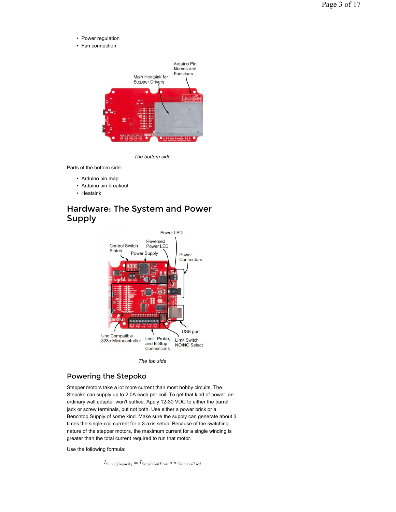- Power regulation
- Fan connection



*The bottom side*

Parts of the bottom side:

- Arduino pin map
- Arduino pin breakout
- Heatsink

## Hardware: The System and Power Supply



*The top side*

#### Powering the Stepoko

Stepper motors take a lot more current than most hobby circuits. The Stepoko can supply up to 2.0A each per coil! To get that kind of power, an ordinary wall adapter won't suffice. Apply 12-30 VDC to either the barrel jack or screw terminals, but not both. Use either a power brick or a Benchtop Supply of some kind. Make sure the supply can generate about 3 times the single-coil current for a 3-axis setup. Because of the switching nature of the stepper motors, the maximum current for a single winding is greater than the total current required to run that motor.

Use the following formula:

 $I_{Supply Capacity} = I_{SingleCoil Peak} * n_{ChannelsU sed}$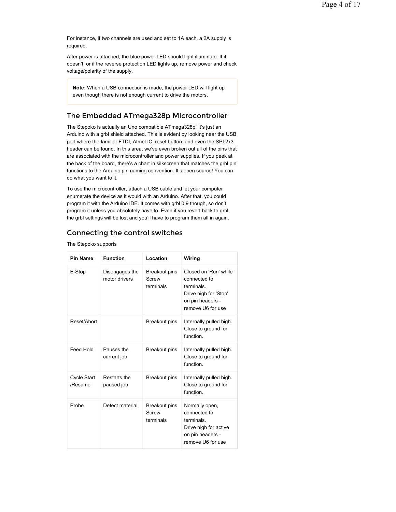For instance, if two channels are used and set to 1A each, a 2A supply is required.

After power is attached, the blue power LED should light illuminate. If it doesn't, or if the reverse protection LED lights up, remove power and check voltage/polarity of the supply.

**Note:** When a USB connection is made, the power LED will light up even though there is not enough current to drive the motors.

#### The Embedded ATmega328p Microcontroller

The Stepoko is actually an Uno compatible ATmega328p! It's just an Arduino with a grbl shield attached. This is evident by looking near the USB port where the familiar FTDI, Atmel IC, reset button, and even the SPI 2x3 header can be found. In this area, we've even broken out all of the pins that are associated with the microcontroller and power supplies. If you peek at the back of the board, there's a chart in silkscreen that matches the grbl pin functions to the Arduino pin naming convention. It's open source! You can do what you want to it.

To use the microcontroller, attach a USB cable and let your computer enumerate the device as it would with an Arduino. After that, you could program it with the Arduino IDE. It comes with grbl 0.9 though, so don't program it unless you absolutely have to. Even if you revert back to grbl, the grbl settings will be lost and you'll have to program them all in again.

## Connecting the control switches

The Stepoko supports

| Pin Name               | <b>Function</b>                 | Location                                   | Wiring                                                                                                                |
|------------------------|---------------------------------|--------------------------------------------|-----------------------------------------------------------------------------------------------------------------------|
| E-Stop                 | Disengages the<br>motor drivers | <b>Breakout pins</b><br>Screw<br>terminals | Closed on 'Run' while<br>connected to<br>terminals.<br>Drive high for 'Stop'<br>on pin headers -<br>remove U6 for use |
| Reset/Abort            |                                 | Breakout pins                              | Internally pulled high.<br>Close to ground for<br>function                                                            |
| Feed Hold              | Pauses the<br>current job       | <b>Breakout pins</b>                       | Internally pulled high.<br>Close to ground for<br>function.                                                           |
| Cycle Start<br>/Resume | Restarts the<br>paused job      | Breakout pins                              | Internally pulled high.<br>Close to ground for<br>function                                                            |
| Probe                  | Detect material                 | Breakout pins<br>Screw<br>terminals        | Normally open,<br>connected to<br>terminals.<br>Drive high for active<br>on pin headers -<br>remove U6 for use        |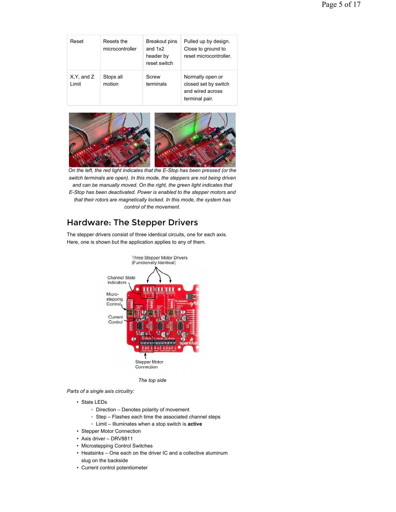| Reset                    | Resets the<br>microcontroller | Breakout pins<br>and $1x2$<br>header by<br>reset switch | Pulled up by design.<br>Close to ground to<br>reset microcontroller.           |
|--------------------------|-------------------------------|---------------------------------------------------------|--------------------------------------------------------------------------------|
| $X, Y,$ and $Z$<br>Limit | Stops all<br>motion           | Screw<br>terminals                                      | Normally open or<br>closed set by switch<br>and wired across<br>terminal pair. |



*On the left, the red light indicates that the E-Stop has been pressed (or the switch terminals are open). In this mode, the steppers are not being driven and can be manually moved. On the right, the green light indicates that E-Stop has been deactivated. Power is enabled to the stepper motors and that their rotors are magnetically locked. In this mode, the system has control of the movement.*

## Hardware: The Stepper Drivers

The stepper drivers consist of three identical circuits, one for each axis. Here, one is shown but the application applies to any of them.



*The top side*

*Parts of a single axis circuitry:*

- State LEDs
	- Direction Denotes polarity of movement
	- Step Flashes each time the associated channel steps
	- Limit Illuminates when a stop switch is **active**
- Stepper Motor Connection
- Axis driver DRV8811
- Microstepping Control Switches
- Heatsinks One each on the driver IC and a collective aluminum slug on the backside
- Current control potentiometer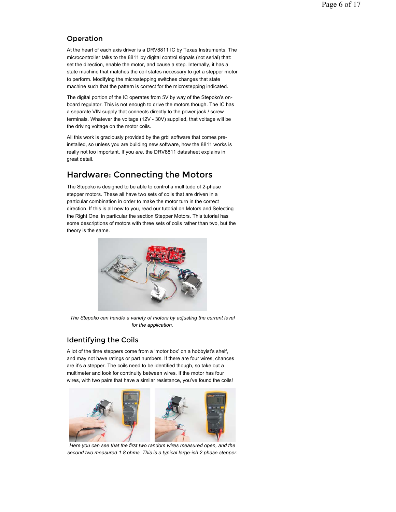## Operation

At the heart of each axis driver is a DRV8811 IC by Texas Instruments. The microcontroller talks to the 8811 by digital control signals (not serial) that: set the direction, enable the motor, and cause a step. Internally, it has a state machine that matches the coil states necessary to get a stepper motor to perform. Modifying the microstepping switches changes that state machine such that the pattern is correct for the microstepping indicated.

The digital portion of the IC operates from 5V by way of the Stepoko's onboard regulator. This is not enough to drive the motors though. The IC has a separate VIN supply that connects directly to the power jack / screw terminals. Whatever the voltage (12V - 30V) supplied, that voltage will be the driving voltage on the motor coils.

All this work is graciously provided by the grbl software that comes preinstalled, so unless you are building new software, how the 8811 works is really not too important. If you *are*, the DRV8811 datasheet explains in great detail.

## Hardware: Connecting the Motors

The Stepoko is designed to be able to control a multitude of 2-phase stepper motors. These all have two sets of coils that are driven in a particular combination in order to make the motor turn in the correct direction. If this is all new to you, read our tutorial on Motors and Selecting the Right One, in particular the section Stepper Motors. This tutorial has some descriptions of motors with three sets of coils rather than two, but the theory is the same.



*The Stepoko can handle a variety of motors by adjusting the current level for the application.*

## Identifying the Coils

A lot of the time steppers come from a 'motor box' on a hobbyist's shelf, and may not have ratings or part numbers. If there are four wires, chances are it's a stepper. The coils need to be identified though, so take out a multimeter and look for continuity between wires. If the motor has four wires, with two pairs that have a similar resistance, you've found the coils!



*Here you can see that the first two random wires measured open, and the second two measured 1.8 ohms. This is a typical large-ish 2 phase stepper.*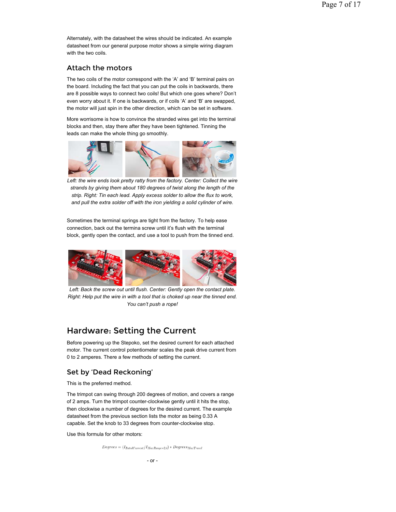Alternately, with the datasheet the wires should be indicated. An example datasheet from our general purpose motor shows a simple wiring diagram with the two coils.

#### Attach the motors

The two coils of the motor correspond with the 'A' and 'B' terminal pairs on the board. Including the fact that you can put the coils in backwards, there are 8 possible ways to connect two coils! But which one goes where? Don't even worry about it. If one is backwards, or if coils 'A' and 'B' are swapped, the motor will just spin in the other direction, which can be set in software.

More worrisome is how to convince the stranded wires get into the terminal blocks and then, stay there after they have been tightened. Tinning the leads can make the whole thing go smoothly.



Left: the wire ends look pretty ratty from the factory. Center: Collect the wire *strands by giving them about 180 degrees of twist along the length of the strip. Right: Tin each lead. Apply excess solder to allow the flux to work, and pull the extra solder off with the iron yielding a solid cylinder of wire.*

Sometimes the terminal springs are tight from the factory. To help ease connection, back out the termina screw until it's flush with the terminal block, gently open the contact, and use a tool to push from the tinned end.



Left: Back the screw out until flush. Center: Gently open the contact plate. *Right: Help put the wire in with a tool that is choked up near the tinned end. You can't push a rope!*

## Hardware: Setting the Current

Before powering up the Stepoko, set the desired current for each attached motor. The current control potentiometer scales the peak drive current from 0 to 2 amperes. There a few methods of setting the current.

#### Set by 'Dead Reckoning'

This is the preferred method.

The trimpot can swing through 200 degrees of motion, and covers a range of 2 amps. Turn the trimpot counter-clockwise gently until it hits the stop, then clockwise a number of degrees for the desired current. The example datasheet from the previous section lists the motor as being 0.33 A capable. Set the knob to 33 degrees from counter-clockwise stop.

Use this formula for other motors:

 $Degree = (I_{RatedCurrent}/I_{MaxRange=2A}) * Degrees_{MaxTravel}$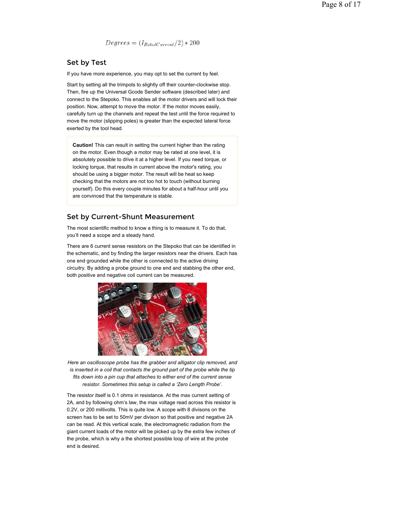$Degrees = (I_{RatedCurrent}/2) * 200$ 

## Set by Test

If you have more experience, you may opt to set the current by feel.

Start by setting all the trimpots to slightly off their counter-clockwise stop. Then, fire up the Universal Gcode Sender software (described later) and connect to the Stepoko. This enables all the motor drivers and will lock their position. Now, attempt to move the motor. If the motor moves easily, carefully turn up the channels and repeat the test until the force required to move the motor (slipping poles) is greater than the expected lateral force exerted by the tool head.

**Caution!** This can result in setting the current higher than the rating on the motor. Even though a motor may be rated at one level, it is absolutely possible to drive it at a higher level. If you need torque, or locking torque, that results in current above the motor's rating, you should be using a bigger motor. The result will be heat so keep checking that the motors are not too hot to touch (without burning yourself). Do this every couple minutes for about a half-hour until you are convinced that the temperature is stable.

#### Set by Current-Shunt Measurement

The most scientific method to know a thing is to measure it. To do that, you'll need a scope and a steady hand.

There are 6 current sense resistors on the Stepoko that can be identified in the schematic, and by finding the larger resistors near the drivers. Each has one end grounded while the other is connected to the active driving circuitry. By adding a probe ground to one end and stabbing the other end, both positive and negative coil current can be measured.



*Here an oscilloscope probe has the grabber and alligator clip removed, and is inserted in a coil that contacts the ground part of the probe while the tip fits down into a pin cup that attaches to either end of the current sense resistor. Sometimes this setup is called a 'Zero Length Probe'.*

The resistor itself is 0.1 ohms in resistance. At the max current setting of 2A, and by following ohm's law, the max voltage read across this resistor is 0.2V, or 200 millivolts. This is quite low. A scope with 8 divisons on the screen has to be set to 50mV per divison so that positive and negative 2A can be read. At this vertical scale, the electromagnetic radiation from the giant current loads of the motor will be picked up by the extra few inches of the probe, which is why a the shortest possible loop of wire at the probe end is desired.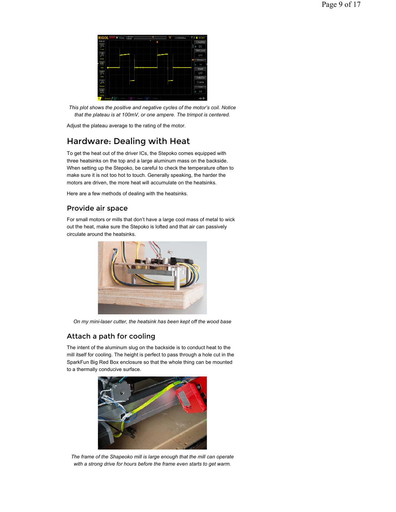

*This plot shows the positive and negative cycles of the motor's coil. Notice that the plateau is at 100mV, or one ampere. The trimpot is centered.*

Adjust the plateau average to the rating of the motor.

## Hardware: Dealing with Heat

To get the heat out of the driver ICs, the Stepoko comes equipped with three heatsinks on the top and a large aluminum mass on the backside. When setting up the Stepoko, be careful to check the temperature often to make sure it is not too hot to touch. Generally speaking, the harder the motors are driven, the more heat will accumulate on the heatsinks.

Here are a few methods of dealing with the heatsinks.

#### Provide air space

For small motors or mills that don't have a large cool mass of metal to wick out the heat, make sure the Stepoko is lofted and that air can passively circulate around the heatsinks.



*On my mini-laser cutter, the heatsink has been kept off the wood base*

#### Attach a path for cooling

The intent of the aluminum slug on the backside is to conduct heat to the mill itself for cooling. The height is perfect to pass through a hole cut in the SparkFun Big Red Box enclosure so that the whole thing can be mounted to a thermally conducive surface.



*The frame of the Shapeoko mill is large enough that the mill can operate with a strong drive for hours before the frame even starts to get warm.*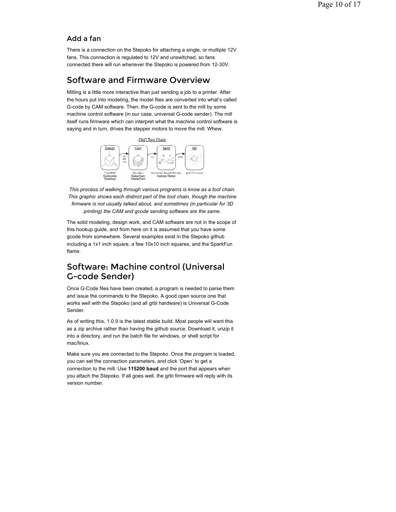## Add a fan

There is a connection on the Stepoko for attaching a single, or multiple 12V fans. This connection is regulated to 12V and unswitched, so fans connected there will run whenever the Stepoko is powered from 12-30V.

## Software and Firmware Overview

Milling is a little more interactive than just sending a job to a printer. After the hours put into modeling, the model files are converted into what's called G-code by CAM software. Then, the G-code is sent to the mill by some machine control software (in our case, universal G-code sender). The mill itself runs firmware which can interpret what the machine control software is saying and in turn, drives the stepper motors to move the mill. Whew.



*This process of walking through various programs is know as a tool chain. This graphic shows each distinct part of the tool chain, though the machine firmware is not usually talked about, and sometimes (in particular for 3D printing) the CAM and gcode sending software are the same.*

The solid modeling, design work, and CAM software are not in the scope of this hookup guide, and from here on it is assumed that you have some gcode from somewhere. Several examples exist in the Stepoko github including a 1x1 inch square, a few 10x10 inch squares, and the SparkFun flame.

## Software: Machine control (Universal G-code Sender)

Once G-Code files have been created, a program is needed to parse them and issue the commands to the Stepoko. A good open source one that works well with the Stepoko (and all grbl hardware) is Universal G-Code Sender.

As of writing this, 1.0.9 is the latest stable build. Most people will want this as a zip archive rather than having the github source. Download it, unzip it into a directory, and run the batch file for windows, or shell script for mac/linux.

Make sure you are connected to the Stepoko. Once the program is loaded, you can set the connection parameters, and click 'Open' to get a connection to the mill. Use **115200 baud** and the port that appears when you attach the Stepoko. If all goes well, the grbl firmware will reply with its version number.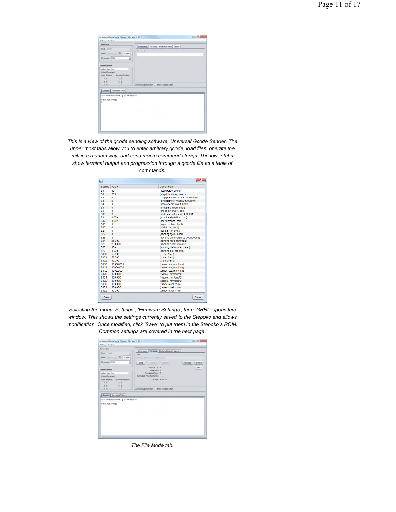| Sebings, Pandard                                                                                                                                                                                    |                                                           |
|-----------------------------------------------------------------------------------------------------------------------------------------------------------------------------------------------------|-----------------------------------------------------------|
| Connection<br>Part COULD<br>Red 11000 - 12 Clean<br>$\bullet$<br>Firmware CRSL<br><b>Machine states</b><br>Active State Scien<br><b>Latest Comment</b><br>Work Position:<br><b>Machina Position</b> | Commands: File Mode   Machine Control   Macros<br>Command |
| $\times$ 0<br>x <sub>0</sub><br>Y.0<br>Y:0<br>20<br>20<br>Console Command Table                                                                                                                     | C Scroll output window   Show verbooe output              |
| ner Cannected to COM43 @ 115200 baud ****<br>Crist D.D. ['S' for help)                                                                                                                              |                                                           |

*This is a view of the gcode sending software, Universal Gcode Sender. The upper most tabs allow you to enter arbitrary gcode, load files, operate the mill in a manual way, and send macro command strings. The lower tabs show terminal output and progression through a gcode file as a table of commands.*

| Setting        | Value          | <b>Description</b>                |
|----------------|----------------|-----------------------------------|
| S <sub>0</sub> | 30             | (step pulse, usec)                |
| \$1            | 255            | (step idle delay, msec)           |
| \$2            | n              | (step port invert mask:00000000)  |
| \$3            | $\overline{2}$ | (dir port invert mask:00000010)   |
| \$4            | $\Omega$       | (step enable invert, bool)        |
| \$5            | $\mathbf{0}$   | (limit pins invert, bool)         |
| S6             | $\mathbf{0}$   | (probe pin invert, bool)          |
| \$10           | $\overline{3}$ | (status report mask:00000011)     |
| \$11           | 0.050          | (iunction deviation, mm)          |
| \$12           | 0.002          | (arc tolerance, mm)               |
| \$13           | $\Omega$       | (report inches, bool)             |
| \$20           | $\Omega$       | (soft limits, bool)               |
| \$21           | Ō              | (hard limits, bool)               |
| \$22           | $\Omega$       | (homing cycle, bool)              |
| \$23           | 1              | (homing dir invert mask:00000001) |
| \$24           | 25,000         | (homing feed, mm/min)             |
| \$25           | 250,000        | (homing seek, mm/min)             |
| \$26           | 100            | (homing debounce, msec)           |
| \$27           | 1.000          | (homing pull-off, mm)             |
| \$100          | 53,000         | (x. step/mm)                      |
| \$101          | 53.000         | (v. step/mm)                      |
| \$102          | 50.000         | (z. step/mm)                      |
| \$110          | 10000 000      | (x max rate, mm/min)              |
| \$111          | 10000 000      | (v max rate, mm/min)              |
| \$112          | 1000.000       | (z max rate, mm/min)              |
| \$120          | 100 000        | (x accel, mm/sec^2)               |
| \$121          | 100 000        | (v accel, mm/sec^2)               |
| \$122          | 100.000        | (z accel, mm/sec^2)               |
| \$130          | 100.000        | (x max travel, mm)                |
| \$131          | 100 000        | (y max travel, mm)                |
| \$132          | 30,000         | (z max travel, mm)                |

*Selecting the menu 'Settings', 'Firmware Settings', then 'GRBL' opens this window. This shows the settings currently saved to the Stepoko and allows modification. Once modified, click 'Save' to put them in the Stepoko's ROM. Common settings are covered in the next page.*

| Sellings, Pandard.                                                                                                                                                    |                                                                                                                         |
|-----------------------------------------------------------------------------------------------------------------------------------------------------------------------|-------------------------------------------------------------------------------------------------------------------------|
| Consection<br>Park (COULD)                                                                                                                                            | Commands File Mode Machine Control Macros<br>Film                                                                       |
| Boot 11000 - (2 Clase)<br>۰<br>Firmware CRSL                                                                                                                          | Cilitatem/Description/Fana2nc<br>$\cup$ Send $\cup$<br>Pause / Canadia<br>Visualize :<br><b>I</b> Bruwse                |
| <b>Machine states</b><br>Arbert State Sche<br><b>Latest Comment</b><br><b>Work Position</b><br><b>Machina Position</b><br>$\times$ 0<br>x <sub>0</sub><br>Y. B<br>Y.0 | Rows in File 0<br>Sam.<br><b>Sant Rowe</b> 0<br>Remaining Rows 0<br>Estimated Time Remaining - --<br>Duration: 00:00:00 |
| 2.0<br>20                                                                                                                                                             | C Scroll autout window   Show verbooe autout                                                                            |
| Console Command Table<br>**** Connected to COM43 @ 115200 baud ****<br>Grtd 0.0 ['S' for field)                                                                       |                                                                                                                         |

*The File Mode tab.*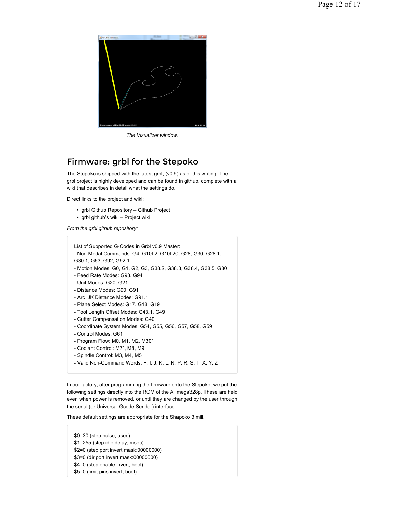

*The Visualizer window.*

## Firmware: grbl for the Stepoko

The Stepoko is shipped with the latest grbl, (v0.9) as of this writing. The grbl project is highly developed and can be found in github, complete with a wiki that describes in detail what the settings do.

Direct links to the project and wiki:

- grbl Github Repository Github Project
- grbl github's wiki Project wiki

*From the grbl github repository:*

| List of Supported G-Codes in Grbl v0.9 Master:<br>- Non-Modal Commands: G4, G10L2, G10L20, G28, G30, G28.1,<br>G30.1, G53, G92, G92.1<br>- Motion Modes: G0, G1, G2, G3, G38.2, G38.3, G38.4, G38.5, G80<br>- Feed Rate Modes: G93, G94<br>- Unit Modes: G20, G21<br>- Distance Modes: G90, G91<br>- Arc IJK Distance Modes: G91.1<br>- Plane Select Modes: G17, G18, G19<br>- Tool Length Offset Modes: G43.1, G49<br>- Cutter Compensation Modes: G40<br>- Coordinate System Modes: G54, G55, G56, G57, G58, G59<br>- Control Modes: G61<br>- Program Flow: M0, M1, M2, M30*<br>- Coolant Control: M7*, M8, M9<br>- Spindle Control: M3, M4, M5 |
|---------------------------------------------------------------------------------------------------------------------------------------------------------------------------------------------------------------------------------------------------------------------------------------------------------------------------------------------------------------------------------------------------------------------------------------------------------------------------------------------------------------------------------------------------------------------------------------------------------------------------------------------------|
| - Valid Non-Command Words: F, I, J, K, L, N, P, R, S, T, X, Y, Z                                                                                                                                                                                                                                                                                                                                                                                                                                                                                                                                                                                  |
|                                                                                                                                                                                                                                                                                                                                                                                                                                                                                                                                                                                                                                                   |

In our factory, after programming the firmware onto the Stepoko, we put the following settings directly into the ROM of the ATmega328p. These are held even when power is removed, or until they are changed by the user through the serial (or Universal Gcode Sender) interface.

These default settings are appropriate for the Shapoko 3 mill.

\$0=30 (step pulse, usec) \$1=255 (step idle delay, msec) \$2=0 (step port invert mask:00000000) \$3=0 (dir port invert mask:00000000) \$4=0 (step enable invert, bool) \$5=0 (limit pins invert, bool)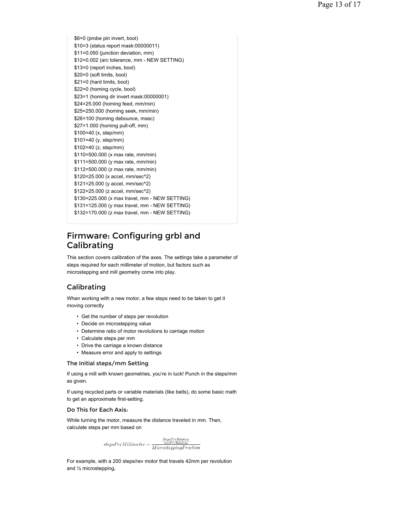\$6=0 (probe pin invert, bool) \$10=3 (status report mask:00000011) \$11=0.050 (junction deviation, mm) \$12=0.002 (arc tolerance, mm - NEW SETTING) \$13=0 (report inches, bool) \$20=0 (soft limits, bool) \$21=0 (hard limits, bool) \$22=0 (homing cycle, bool) \$23=1 (homing dir invert mask:00000001) \$24=25.000 (homing feed, mm/min) \$25=250.000 (homing seek, mm/min) \$26=100 (homing debounce, msec) \$27=1.000 (homing pull-off, mm) \$100=40 (x, step/mm) \$101=40 (y, step/mm) \$102=40 (z, step/mm) \$110=500.000 (x max rate, mm/min) \$111=500.000 (y max rate, mm/min) \$112=500.000 (z max rate, mm/min) \$120=25.000 (x accel, mm/sec^2) \$121=25.000 (y accel, mm/sec^2) \$122=25.000 (z accel, mm/sec^2) \$130=225.000 (x max travel, mm - NEW SETTING) \$131=125.000 (y max travel, mm - NEW SETTING) \$132=170.000 (z max travel, mm - NEW SETTING)

## Firmware: Configuring grbl and Calibrating

This section covers calibration of the axes. The settings take a parameter of steps required for each millimeter of motion, but factors such as microstepping and mill geometry come into play.

## Calibrating

When working with a new motor, a few steps need to be taken to get it moving correctly

- Get the number of steps per revolution
- Decide on microstepping value
- Determine ratio of motor revolutions to carriage motion
- Calculate steps per mm
- Drive the carriage a known distance
- Measure error and apply to settings

#### The Initial steps/mm Setting

If using a mill with known geometries, you're in luck! Punch in the steps/mm as given.

If using recycled parts or variable materials (like belts), do some basic math to get an approximate first-setting.

#### Do This for Each Axis:

While turning the motor, measure the distance traveled in mm. Then, calculate steps per mm based on

> $\label{eq:stepsPerRotation} Step sPerRotation$  $stepsPerMillimeter = \frac{\frac{StepsPerRotation}{mmPerRotation}}{MicrosteppingFraction}$

For example, with a 200 steps/rev motor that travels 42mm per revolution and ½ microstepping,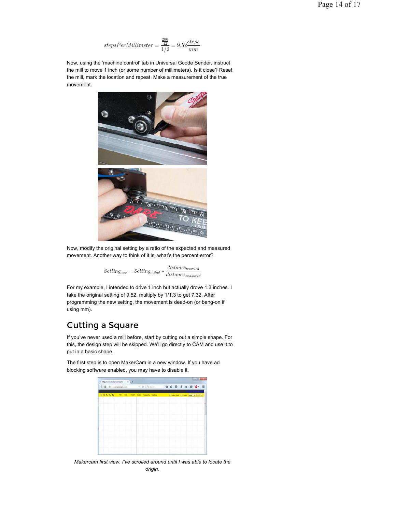$$
stepsPerMillimeter = \frac{\frac{200}{42}}{1/2} = 9.52 \frac{steps}{mm}
$$

Now, using the 'machine control' tab in Universal Gcode Sender, instruct the mill to move 1 inch (or some number of millimeters). Is it close? Reset the mill, mark the location and repeat. Make a measurement of the true movement.



Now, modify the original setting by a ratio of the expected and measured movement. Another way to think of it is, what's the percent error?

 $Setting_{new} = Setting_{initial} * \frac{distance_{traveled}}{distance_{measured}}$ 

For my example, I intended to drive 1 inch but actually drove 1.3 inches. I take the original setting of 9.52, multiply by 1/1.3 to get 7.32. After programming the new setting, the movement is dead-on (or bang-on if using mm).

## Cutting a Square

If you've never used a mill before, start by cutting out a simple shape. For this, the design step will be skipped. We'll go directly to CAM and use it to put in a basic shape.

The first step is to open MakerCam in a new window. If you have ad blocking software enabled, you may have to disable it.



*Makercam first view. I've scrolled around until I was able to locate the origin.*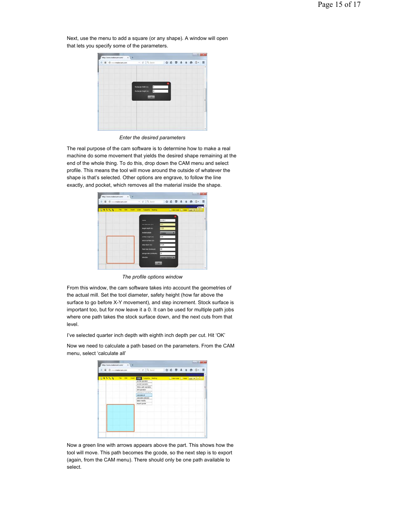

Next, use the menu to add a square (or any shape). A window will open that lets you specify some of the parameters.

*Enter the desired parameters*

The real purpose of the cam software is to determine how to make a real machine do some movement that yields the desired shape remaining at the end of the whole thing. To do this, drop down the CAM menu and select profile. This means the tool will move around the outside of whatever the shape is that's selected. Other options are engrave, to follow the line exactly, and pocket, which removes all the material inside the shape.

| 6181 @ minimiercam.com            | $v \mid C$ Q Second      |                          |  |  | ☆ 8 U & A B G · 三                   |  |
|-----------------------------------|--------------------------|--------------------------|--|--|-------------------------------------|--|
|                                   |                          |                          |  |  | <b>Base</b>                         |  |
| EXAMPLE THE REPORT CAN THERE WERE |                          |                          |  |  | EL VIN DIN 117 MAR   MARCHI   117 M |  |
|                                   |                          |                          |  |  |                                     |  |
|                                   |                          | profile 1                |  |  |                                     |  |
|                                   | <b>Barratar (in)</b>     | 0.26                     |  |  |                                     |  |
|                                   | <b>herpot depth (in)</b> | 428                      |  |  |                                     |  |
|                                   | insidefactable           | <b>Circums</b>           |  |  |                                     |  |
|                                   | safety height (m)        | 125                      |  |  |                                     |  |
|                                   | stock auctions (m)       | $\overline{\phantom{0}}$ |  |  |                                     |  |
|                                   | step down (\$4)          | 1.125                    |  |  |                                     |  |
|                                   | feed rate (inmedia)      | 44.5                     |  |  |                                     |  |
|                                   | plunge rate (infrancia)  | 30.                      |  |  |                                     |  |
|                                   | distribut                | Course Clock of Links    |  |  |                                     |  |

*The profile options window*

From this window, the cam software takes into account the geometries of the actual mill. Set the tool diameter, safety height (how far above the surface to go before X-Y movement), and step increment. Stock surface is important too, but for now leave it a 0. It can be used for multiple path jobs where one path takes the stock surface down, and the next cuts from that level.

I've selected quarter inch depth with eighth inch depth per cut. Hit 'OK'

Now we need to calculate a path based on the parameters. From the CAM menu, select 'calculate all'

| <b>B</b> B commission.com | $v$ $\in$ $Q$ . Seems        |  |  |  | ☆ ☆ ♡ ↓ ☆ ☆ ◎ · 三                 |  |
|---------------------------|------------------------------|--|--|--|-----------------------------------|--|
|                           |                              |  |  |  |                                   |  |
| <b>GASSS</b><br>Fig. 2.00 | <b>CAME Technole Needing</b> |  |  |  | El venisme El ener (amilie Elija) |  |
|                           | profile aperators            |  |  |  |                                   |  |
|                           | posted specialize.           |  |  |  |                                   |  |
|                           | folese path operation        |  |  |  |                                   |  |
|                           | drill speraton               |  |  |  |                                   |  |
|                           | add tabs to askeded          |  |  |  |                                   |  |
|                           | calculate at                 |  |  |  |                                   |  |
|                           | catculate asterind           |  |  |  |                                   |  |
|                           | beltih medity                |  |  |  |                                   |  |
|                           | export goods                 |  |  |  |                                   |  |
|                           |                              |  |  |  |                                   |  |
|                           |                              |  |  |  |                                   |  |
|                           |                              |  |  |  |                                   |  |
|                           |                              |  |  |  |                                   |  |
|                           |                              |  |  |  |                                   |  |
|                           |                              |  |  |  |                                   |  |
|                           |                              |  |  |  |                                   |  |
|                           |                              |  |  |  |                                   |  |
|                           |                              |  |  |  |                                   |  |

Now a green line with arrows appears above the part. This shows how the tool will move. This path becomes the gcode, so the next step is to export (again, from the CAM menu). There should only be one path available to select.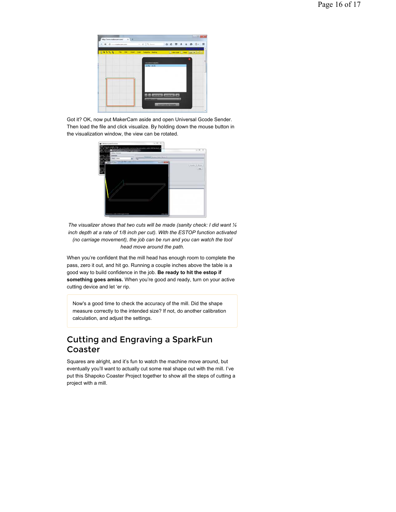

Got it? OK, now put MakerCam aside and open Universal Gcode Sender. Then load the file and click visualize. By holding down the mouse button in the visualization window, the view can be rotated.



*The visualizer shows that two cuts will be made (sanity check: I did want ¼ inch depth at a rate of 1/8 inch per cut). With the ESTOP function activated (no carriage movement), the job can be run and you can watch the tool head move around the path.*

When you're confident that the mill head has enough room to complete the pass, zero it out, and hit go. Running a couple inches above the table is a good way to build confidence in the job. **Be ready to hit the estop if something goes amiss.** When you're good and ready, turn on your active cutting device and let 'er rip.

Now's a good time to check the accuracy of the mill. Did the shape measure correctly to the intended size? If not, do another calibration calculation, and adjust the settings.

## Cutting and Engraving a SparkFun Coaster

Squares are alright, and it's fun to watch the machine move around, but eventually you'll want to actually cut some real shape out with the mill. I've put this Shapoko Coaster Project together to show all the steps of cutting a project with a mill.